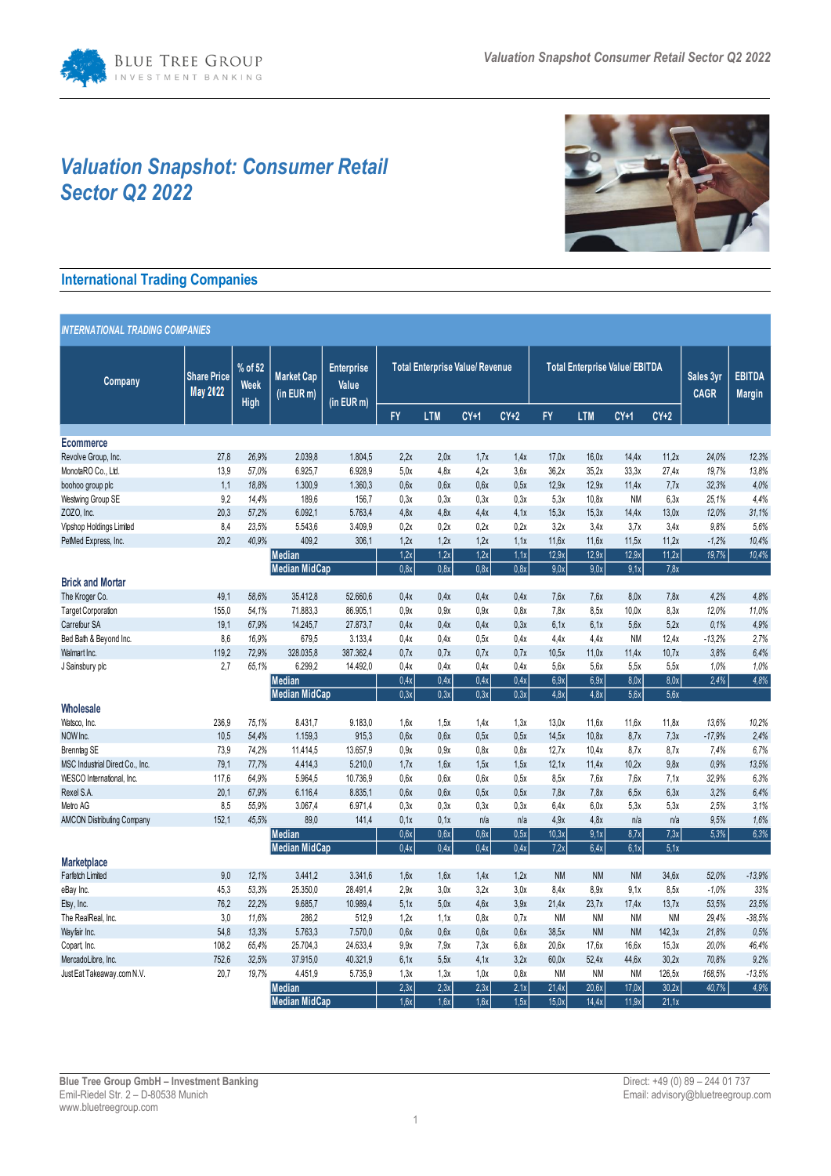# *Valuation Snapshot: Consumer Retail Sector Q2 2022*



# **International Trading Companies**

| <b>INTERNATIONAL TRADING COMPANIES</b> |                                       |                                |                                      |                                          |                                       |            |        |        |                                       |            |           |                          |                                |          |
|----------------------------------------|---------------------------------------|--------------------------------|--------------------------------------|------------------------------------------|---------------------------------------|------------|--------|--------|---------------------------------------|------------|-----------|--------------------------|--------------------------------|----------|
| Company                                | <b>Share Price</b><br><b>May 2022</b> | % of 52<br><b>Week</b><br>High | <b>Market Cap</b><br>$(in$ EUR m $)$ | <b>Enterprise</b><br>Value<br>(in EUR m) | <b>Total Enterprise Value/Revenue</b> |            |        |        | <b>Total Enterprise Value/ EBITDA</b> |            |           | Sales 3yr<br><b>CAGR</b> | <b>EBITDA</b><br><b>Margin</b> |          |
|                                        |                                       |                                |                                      |                                          | <b>FY</b>                             | <b>LTM</b> | $CY+1$ | $CY+2$ | <b>FY</b>                             | <b>LTM</b> | $CY+1$    | $CY+2$                   |                                |          |
| <b>Ecommerce</b>                       |                                       |                                |                                      |                                          |                                       |            |        |        |                                       |            |           |                          |                                |          |
| Revolve Group, Inc.                    | 27,8                                  | 26.9%                          | 2.039.8                              | 1.804,5                                  | 2.2x                                  | 2.0x       | 1.7x   | 1.4x   | 17.0x                                 | 16,0x      | 14.4x     | 11.2x                    | 24,0%                          | 12,3%    |
| MonotaRO Co., Ltd.                     | 13,9                                  | 57.0%                          | 6.925,7                              | 6.928,9                                  | 5,0x                                  | 4,8x       | 4.2x   | 3.6x   | 36.2x                                 | 35.2x      | 33.3x     | 27,4x                    | 19,7%                          | 13,8%    |
| boohoo group plc                       | 1,1                                   | 18.8%                          | 1.300,9                              | 1.360,3                                  | 0.6x                                  | 0.6x       | 0.6x   | 0.5x   | 12.9x                                 | 12.9x      | 11.4x     | 7.7x                     | 32,3%                          | 4.0%     |
| Westwing Group SE                      | 9,2                                   | 14.4%                          | 189,6                                | 156,7                                    | 0,3x                                  | 0.3x       | 0.3x   | 0.3x   | 5.3x                                  | 10.8x      | <b>NM</b> | 6,3x                     | 25,1%                          | 4,4%     |
| ZOZO, Inc.                             | 20,3                                  | 57.2%                          | 6.092.1                              | 5.763.4                                  | 4,8x                                  | 4,8x       | 4.4x   | 4,1x   | 15,3x                                 | 15,3x      | 14.4x     | 13,0x                    | 12.0%                          | 31,1%    |
| Vipshop Holdings Limited               | 8,4                                   | 23.5%                          | 5.543,6                              | 3.409,9                                  | 0.2x                                  | 0.2x       | 0.2x   | 0.2x   | 3.2x                                  | 3.4x       | 3.7x      | 3.4x                     | 9.8%                           | 5,6%     |
| PetMed Express, Inc.                   | 20.2                                  | 40,9%                          | 409,2                                | 306,1                                    | 1,2x                                  | 1,2x       | 1,2x   | 1,1x   | 11.6x                                 | 11,6x      | 11,5x     | 11,2x                    | $-1,2%$                        | 10,4%    |
|                                        |                                       |                                | <b>Median</b>                        |                                          | 1.2x                                  | 1.2x       | 1.2x   | 1.1x   | 12.9x                                 | 12.9x      | 12.9x     | 11.2x                    | 19,7%                          | 10,4%    |
|                                        |                                       |                                | <b>Median MidCap</b>                 |                                          | 0.8x                                  | 0.8x       | 0.8x   | 0.8x   | 9.0x                                  | 9.0x       | 9.1x      | 7,8x                     |                                |          |
| <b>Brick and Mortar</b>                |                                       |                                |                                      |                                          |                                       |            |        |        |                                       |            |           |                          |                                |          |
| The Kroger Co.                         | 49,1                                  | 58.6%                          | 35.412,8                             | 52.660,6                                 | 0.4x                                  | 0.4x       | 0.4x   | 0.4x   | 7.6x                                  | 7.6x       | 8.0x      | 7.8x                     | 4,2%                           | 4.8%     |
| <b>Target Corporation</b>              | 155,0                                 | 54,1%                          | 71.883,3                             | 86.905,1                                 | 0,9x                                  | 0,9x       | 0,9x   | 0,8x   | 7,8x                                  | 8.5x       | 10,0x     | 8,3x                     | 12,0%                          | 11,0%    |
| Carrefour SA                           | 19,1                                  | 67.9%                          | 14.245,7                             | 27.873,7                                 | 0.4x                                  | 0.4x       | 0.4x   | 0.3x   | 6.1x                                  | 6.1x       | 5.6x      | 5.2x                     | 0.1%                           | 4.9%     |
| Bed Bath & Beyond Inc.                 | 8,6                                   | 16.9%                          | 679,5                                | 3.133,4                                  | 0.4x                                  | 0.4x       | 0.5x   | 0.4x   | 4.4x                                  | 4.4x       | <b>NM</b> | 12.4x                    | $-13,2%$                       | 2,7%     |
| Walmart Inc.                           | 119,2                                 | 72,9%                          | 328.035,8                            | 387.362,4                                | 0.7x                                  | 0.7x       | 0.7x   | 0.7x   | 10.5x                                 | 11,0x      | 11.4x     | 10.7x                    | 3.8%                           | 6,4%     |
| J Sainsbury plc                        | 2,7                                   | 65.1%                          | 6.299,2                              | 14.492,0                                 | 0.4x                                  | 0.4x       | 0.4x   | 0.4x   | 5.6x                                  | 5.6x       | 5.5x      | 5.5x                     | 1.0%                           | 1,0%     |
|                                        |                                       |                                | <b>Median</b>                        |                                          | 0,4x                                  | 0.4x       | 0.4x   | 0.4x   | 6.9x                                  | 6.9x       | 8.0x      | 8.0x                     | 2.4%                           | 4,8%     |
|                                        |                                       |                                | <b>Median MidCap</b>                 |                                          | 0.3x                                  | 0.3x       | 0.3x   | 0.3x   | 4.8x                                  | 4.8x       | 5.6x      | 5.6x                     |                                |          |
| <b>Wholesale</b>                       |                                       |                                |                                      |                                          |                                       |            |        |        |                                       |            |           |                          |                                |          |
| Watsco, Inc.                           | 236.9                                 | 75,1%                          | 8.431.7                              | 9.183.0                                  | 1.6x                                  | 1.5x       | 1.4x   | 1.3x   | 13.0x                                 | 11.6x      | 11.6x     | 11.8x                    | 13.6%                          | 10.2%    |
| NOW Inc.                               | 10.5                                  | 54,4%                          | 1.159,3                              | 915,3                                    | 0.6x                                  | 0.6x       | 0.5x   | 0.5x   | 14.5x                                 | 10.8x      | 8.7x      | 7.3x                     | $-17.9%$                       | 2,4%     |
| <b>Brenntag SE</b>                     | 73,9                                  | 74,2%                          | 11.414,5                             | 13.657.9                                 | 0,9x                                  | 0,9x       | 0.8x   | 0.8x   | 12,7x                                 | 10.4x      | 8.7x      | 8,7x                     | 7,4%                           | 6,7%     |
| MSC Industrial Direct Co., Inc.        | 79,1                                  | 77,7%                          | 4.414.3                              | 5.210.0                                  | 1.7x                                  | 1.6x       | 1.5x   | 1.5x   | 12.1x                                 | 11.4x      | 10.2x     | 9.8x                     | 0.9%                           | 13,5%    |
| WESCO International, Inc.              | 117,6                                 | 64,9%                          | 5.964,5                              | 10.736,9                                 | 0.6x                                  | 0.6x       | 0,6x   | 0,5x   | 8.5x                                  | 7.6x       | 7.6x      | 7,1x                     | 32,9%                          | 6,3%     |
| Rexel S.A.                             | 20.1                                  | 67.9%                          | 6.116.4                              | 8.835.1                                  | 0.6x                                  | 0.6x       | 0.5x   | 0.5x   | 7.8x                                  | 7.8x       | 6.5x      | 6.3x                     | 3,2%                           | 6,4%     |
| Metro AG                               | 8,5                                   | 55,9%                          | 3.067,4                              | 6.971,4                                  | 0.3x                                  | 0.3x       | 0.3x   | 0.3x   | 6.4x                                  | 6.0x       | 5.3x      | 5,3x                     | 2.5%                           | 3.1%     |
| <b>AMCON Distributing Company</b>      | 152.1                                 | 45.5%                          | 89.0                                 | 141,4                                    | 0.1x                                  | 0.1x       | n/a    | n/a    | 4.9x                                  | 4.8x       | n/a       | n/a                      | 9.5%                           | 1,6%     |
|                                        |                                       |                                | <b>Median</b>                        |                                          | 0,6x                                  | 0,6x       | 0.6x   | 0.5x   | 10,3x                                 | 9,1x       | 8,7x      | 7,3x                     | 5,3%                           | 6,3%     |
|                                        |                                       |                                | <b>Median MidCap</b>                 |                                          | 0.4x                                  | 0.4x       | 0.4x   | 0.4x   | 7,2x                                  | 6.4x       | 6,1x      | 5,1x                     |                                |          |
| <b>Marketplace</b>                     |                                       |                                |                                      |                                          |                                       |            |        |        |                                       |            |           |                          |                                |          |
| Farfetch Limited                       | 9,0                                   | 12.1%                          | 3.441,2                              | 3.341,6                                  | 1,6x                                  | 1.6x       | 1.4x   | 1,2x   | <b>NM</b>                             | <b>NM</b>  | <b>NM</b> | 34,6x                    | 52.0%                          | $-13,9%$ |
| eBay Inc.                              | 45,3                                  | 53.3%                          | 25.350.0                             | 28.491,4                                 | 2.9x                                  | 3.0x       | 3.2x   | 3.0x   | 8.4x                                  | 8.9x       | 9.1x      | 8.5x                     | $-1.0%$                        | 33%      |
| Etsy, Inc.                             | 76,2                                  | 22,2%                          | 9.685,7                              | 10.989,4                                 | 5.1x                                  | 5.0x       | 4.6x   | 3.9x   | 21.4x                                 | 23.7x      | 17.4x     | 13.7x                    | 53,5%                          | 23,5%    |
| The RealReal, Inc.                     | 3,0                                   | 11,6%                          | 286.2                                | 512,9                                    | 1,2x                                  | 1,1x       | 0.8x   | 0.7x   | <b>NM</b>                             | <b>NM</b>  | <b>NM</b> | <b>NM</b>                | 29,4%                          | $-38,5%$ |
| Wayfair Inc.                           | 54,8                                  | 13.3%                          | 5.763,3                              | 7.570,0                                  | 0.6x                                  | 0.6x       | 0.6x   | 0.6x   | 38.5x                                 | <b>NM</b>  | <b>NM</b> | 142.3x                   | 21,8%                          | 0.5%     |
| Copart, Inc.                           | 108,2                                 | 65,4%                          | 25.704,3                             | 24.633,4                                 | 9,9x                                  | 7.9x       | 7.3x   | 6.8x   | 20.6x                                 | 17.6x      | 16,6x     | 15,3x                    | 20.0%                          | 46,4%    |
| MercadoLibre, Inc.                     | 752,6                                 | 32.5%                          | 37.915.0                             | 40.321,9                                 | 6.1x                                  | 5.5x       | 4.1x   | 3.2x   | 60.0x                                 | 52.4x      | 44,6x     | 30.2x                    | 70,8%                          | 9,2%     |
| Just Eat Takeaway.com N.V.             | 20,7                                  | 19,7%                          | 4.451,9                              | 5.735,9                                  | 1,3x                                  | 1,3x       | 1,0x   | 0.8x   | <b>NM</b>                             | <b>NM</b>  | <b>NM</b> | 126,5x                   | 168,5%                         | $-13,5%$ |
|                                        |                                       |                                | <b>Median</b>                        |                                          | 2.3x                                  | 2.3x       | 2.3x   | 2.1x   | 21.4x                                 | 20.6x      | 17.0x     | 30.2x                    | 40.7%                          | 4.9%     |
|                                        |                                       |                                | <b>Median MidCap</b>                 |                                          | 1.6x                                  | 1.6x       | 1.6x   | 1.5x   | 15.0x                                 | 14.4x      | 11.9x     | 21,1x                    |                                |          |